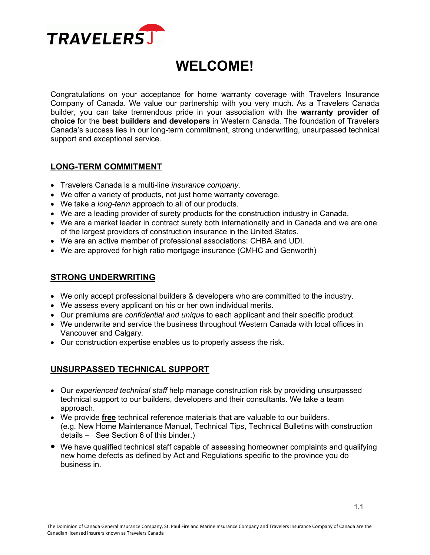

# **WELCOME!**

Congratulations on your acceptance for home warranty coverage with Travelers Insurance Company of Canada. We value our partnership with you very much. As a Travelers Canada builder, you can take tremendous pride in your association with the **warranty provider of choice** for the **best builders and developers** in Western Canada. The foundation of Travelers Canada's success lies in our long-term commitment, strong underwriting, unsurpassed technical support and exceptional service.

### **LONG-TERM COMMITMENT**

- Travelers Canada is a multi-line *insurance company*.
- We offer a variety of products, not just home warranty coverage.
- We take a *long-term* approach to all of our products.
- We are a leading provider of surety products for the construction industry in Canada.
- We are a market leader in contract surety both internationally and in Canada and we are one of the largest providers of construction insurance in the United States.
- We are an active member of professional associations: CHBA and UDI.
- We are approved for high ratio mortgage insurance (CMHC and Genworth)

### **STRONG UNDERWRITING**

- We only accept professional builders & developers who are committed to the industry.
- We assess every applicant on his or her own individual merits.
- Our premiums are *confidential and unique* to each applicant and their specific product.
- We underwrite and service the business throughout Western Canada with local offices in Vancouver and Calgary*.*
- Our construction expertise enables us to properly assess the risk.

### **UNSURPASSED TECHNICAL SUPPORT**

- Our *experienced technical staff* help manage construction risk by providing unsurpassed technical support to our builders, developers and their consultants. We take a team approach.
- We provide **free** technical reference materials that are valuable to our builders. (e.g. New Home Maintenance Manual, Technical Tips, Technical Bulletins with construction details – See Section 6 of this binder.)
- We have qualified technical staff capable of assessing homeowner complaints and qualifying new home defects as defined by Act and Regulations specific to the province you do business in.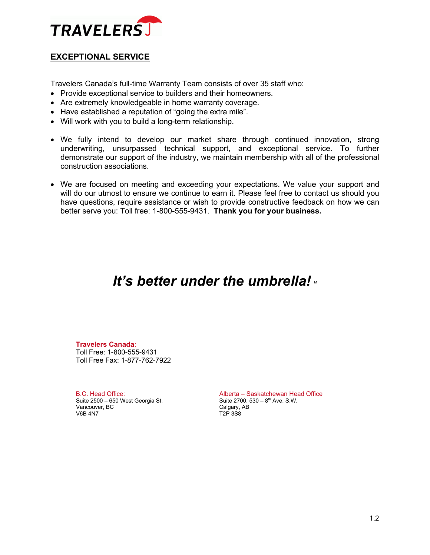

### **EXCEPTIONAL SERVICE**

Travelers Canada's full-time Warranty Team consists of over 35 staff who:

- Provide exceptional service to builders and their homeowners.
- Are extremely knowledgeable in home warranty coverage.
- Have established a reputation of "going the extra mile".
- Will work with you to build a long-term relationship.
- We fully intend to develop our market share through continued innovation, strong underwriting, unsurpassed technical support, and exceptional service. To further demonstrate our support of the industry, we maintain membership with all of the professional construction associations.
- We are focused on meeting and exceeding your expectations. We value your support and will do our utmost to ensure we continue to earn it. Please feel free to contact us should you have questions, require assistance or wish to provide constructive feedback on how we can better serve you: Toll free: 1-800-555-9431. **Thank you for your business.**

## *It's better under the umbrella!*™

**Travelers Canada**: Toll Free: 1-800-555-9431 Toll Free Fax: 1-877-762-7922

B.C. Head Office: Suite 2500 – 650 West Georgia St. Vancouver, BC V6B 4N7

Alberta – Saskatchewan Head Office Suite 2700,  $530 - 8$ <sup>th</sup> Ave. S.W. Calgary, AB T2P 3S8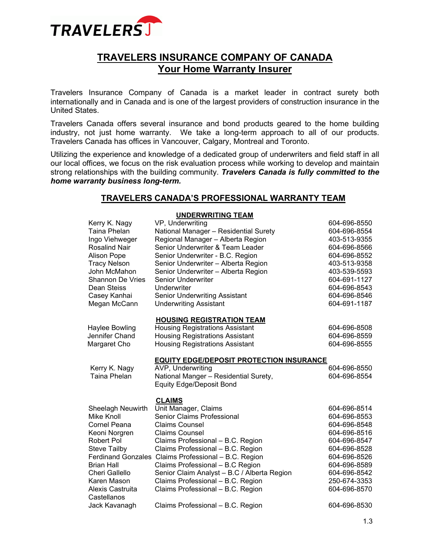

## **TRAVELERS INSURANCE COMPANY OF CANADA Your Home Warranty Insurer**

Travelers Insurance Company of Canada is a market leader in contract surety both internationally and in Canada and is one of the largest providers of construction insurance in the United States.

Travelers Canada offers several insurance and bond products geared to the home building industry, not just home warranty. We take a long-term approach to all of our products. Travelers Canada has offices in Vancouver, Calgary, Montreal and Toronto.

Utilizing the experience and knowledge of a dedicated group of underwriters and field staff in all our local offices, we focus on the risk evaluation process while working to develop and maintain strong relationships with the building community. *Travelers Canada is fully committed to the home warranty business long-term.* 

### **TRAVELERS CANADA'S PROFESSIONAL WARRANTY TEAM**

#### **UNDERWRITING TEAM**

| Kerry K. Nagy           | VP, Underwriting                                     | 604-696-8550 |
|-------------------------|------------------------------------------------------|--------------|
| <b>Taina Phelan</b>     | National Manager - Residential Surety                | 604-696-8554 |
| Ingo Viehweger          | Regional Manager - Alberta Region                    | 403-513-9355 |
| Rosalind Nair           | Senior Underwriter & Team Leader                     | 604-696-8566 |
| <b>Alison Pope</b>      | Senior Underwriter - B.C. Region                     | 604-696-8552 |
| <b>Tracy Nelson</b>     | Senior Underwriter - Alberta Region                  | 403-513-9358 |
| John McMahon            | Senior Underwriter - Alberta Region                  | 403-539-5593 |
| <b>Shannon De Vries</b> | <b>Senior Underwriter</b>                            | 604-691-1127 |
| Dean Steiss             | Underwriter                                          | 604-696-8543 |
| Casey Kanhai            | <b>Senior Underwriting Assistant</b>                 | 604-696-8546 |
| Megan McCann            | <b>Underwriting Assistant</b>                        | 604-691-1187 |
|                         | <b>HOUSING REGISTRATION TEAM</b>                     |              |
| <b>Haylee Bowling</b>   | <b>Housing Registrations Assistant</b>               | 604-696-8508 |
| Jennifer Chand          | <b>Housing Registrations Assistant</b>               | 604-696-8559 |
| Margaret Cho            | <b>Housing Registrations Assistant</b>               | 604-696-8555 |
|                         | <b>EQUITY EDGE/DEPOSIT PROTECTION INSURANCE</b>      |              |
| Kerry K. Nagy           | AVP, Underwriting                                    | 604-696-8550 |
| Taina Phelan            | National Manger - Residential Surety,                | 604-696-8554 |
|                         | <b>Equity Edge/Deposit Bond</b>                      |              |
|                         | <b>CLAIMS</b>                                        |              |
| Sheelagh Neuwirth       | Unit Manager, Claims                                 | 604-696-8514 |
| Mike Knoll              | <b>Senior Claims Professional</b>                    | 604-696-8553 |
| Cornel Peana            | <b>Claims Counsel</b>                                | 604-696-8548 |
| Keoni Norgren           | <b>Claims Counsel</b>                                | 604-696-8516 |
| Robert Pol              | Claims Professional - B.C. Region                    | 604-696-8547 |
| <b>Steve Tailby</b>     | Claims Professional - B.C. Region                    | 604-696-8528 |
|                         | Ferdinand Gonzales Claims Professional - B.C. Region | 604-696-8526 |
| <b>Brian Hall</b>       | Claims Professional - B.C Region                     | 604-696-8589 |
| Cheri Gallello          | Senior Claim Analyst - B.C / Alberta Region          | 604-696-8542 |
| Karen Mason             | Claims Professional - B.C. Region                    | 250-674-3353 |
| Alexis Castruita        | Claims Professional - B.C. Region                    | 604-696-8570 |
| Castellanos             |                                                      |              |
| Jack Kavanagh           | Claims Professional - B.C. Region                    | 604-696-8530 |